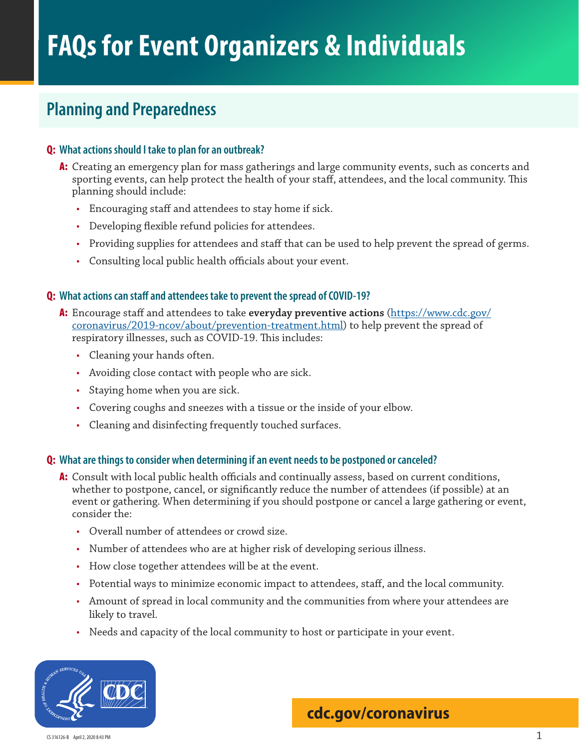# **Planning and Preparedness**

### **Q: What actions should I take to plan for an outbreak?**

- A: Creating an emergency plan for mass gatherings and large community events, such as concerts and sporting events, can help protect the health of your staff, attendees, and the local community. This planning should include:
	- Encouraging staff and attendees to stay home if sick.
	- Developing flexible refund policies for attendees.
	- Providing supplies for attendees and staff that can be used to help prevent the spread of germs.
	- Consulting local public health officials about your event.

#### **Q: What actions can staff and attendees take to prevent the spread of COVID-19?**

- A: Encourage staff and attendees to take **[everyday preventive actions](https://www.cdc.gov/coronavirus/2019-ncov/about/prevention-treatment.html)** (https://www.cdc.gov/ coronavirus/2019-ncov/about/prevention-treatment.html) to help prevent the spread of respiratory illnesses, such as COVID-19. This includes:
	- Cleaning your hands often.
	- Avoiding close contact with people who are sick.
	- Staying home when you are sick.
	- Covering coughs and sneezes with a tissue or the inside of your elbow.
	- Cleaning and disinfecting frequently touched surfaces.

### **Q: What are things to consider when determining if an event needs to be postponed or canceled?**

- A: Consult with local public health officials and continually assess, based on current conditions, whether to postpone, cancel, or significantly reduce the number of attendees (if possible) at an event or gathering. When determining if you should postpone or cancel a large gathering or event, consider the:
	- Overall number of attendees or crowd size.
	- Number of attendees who are at higher risk of developing serious illness.
	- How close together attendees will be at the event.
	- Potential ways to minimize economic impact to attendees, staff, and the local community.
	- Amount of spread in local community and the communities from where your attendees are likely to travel.
	- Needs and capacity of the local community to host or participate in your event.



## **[cdc.gov/coronavirus](http://www.cdc.gov/coronavirus)**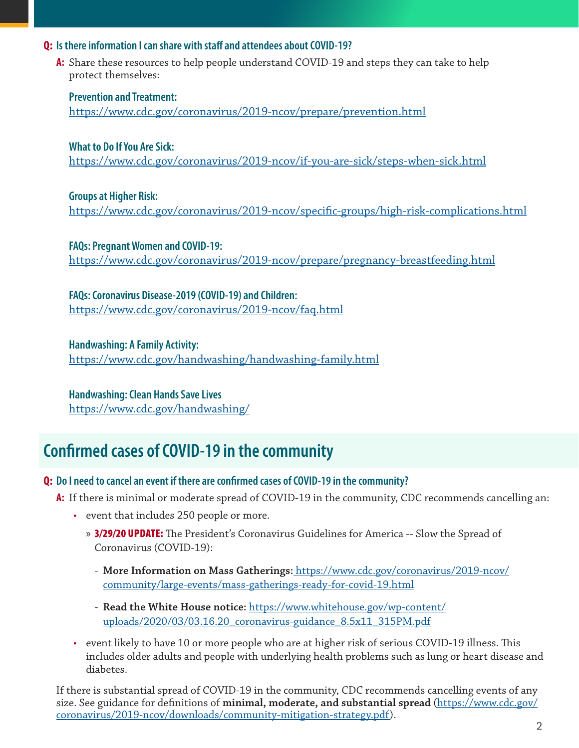### **Q: Is there information I can share with staff and attendees about COVID-19?**

**A:** Share these resources to help people understand COVID-19 and steps they can take to help protect themselves:

**[Prevention and Treatment](https://www.cdc.gov/coronavirus/2019-ncov/about/prevention-treatment.html):** <https://www.cdc.gov/coronavirus/2019-ncov/prepare/prevention.html>

**What to Do If You Are Sick:** <https://www.cdc.gov/coronavirus/2019-ncov/if-you-are-sick/steps-when-sick.html>

**Groups at Higher Risk:**

<https://www.cdc.gov/coronavirus/2019-ncov/specific-groups/high-risk-complications.html>

**FAQs: Pregnant Women and COVID-19:** <https://www.cdc.gov/coronavirus/2019-ncov/prepare/pregnancy-breastfeeding.html>

**FAQs: Coronavirus Disease-2019 (COVID-19) and Children:** <https://www.cdc.gov/coronavirus/2019-ncov/faq.html>

**Handwashing: A Family Activity:** <https://www.cdc.gov/handwashing/handwashing-family.html>

**Handwashing: Clean Hands Save Lives** <https://www.cdc.gov/handwashing/>

# **Confirmed cases of COVID-19 in the community**

## **Q: Do I need to cancel an event if there are confirmed cases of COVID-19 in the community?**

- **A:** If there is minimal or moderate spread of COVID-19 in the community, CDC recommends cancelling an:
	- event that includes 250 people or more.
		- » 3/29/20 UPDATE: The President's Coronavirus Guidelines for America -- Slow the Spread of Coronavirus (COVID-19):
			- **[More Information on Mass Gatherings](https://www.cdc.gov/coronavirus/2019-ncov/community/large-events/mass-gatherings-ready-for-covid-19.html):** https://www.cdc.gov/coronavirus/2019-ncov/ community/large-events/mass-gatherings-ready-for-covid-19.html
			- **[Read the White House notice:](link: https://www.whitehouse.gov/wp-content/uploads/2020/03/03.16.20_coronavirus-guidance_8.5x11_315PM.pdf)** https://www.whitehouse.gov/wp-content/ uploads/2020/03/03.16.20\_coronavirus-guidance\_8.5x11\_315PM.pdf
	- event likely to have 10 or more people who are at higher risk of serious COVID-19 illness. This includes older adults and people with underlying health problems such as lung or heart disease and diabetes.

If there is substantial spread of COVID-19 in the community, CDC recommends cancelling events of any size. See guidance for definitions of **[minimal, moderate, and substantial spread](file:https://www.cdc.gov/coronavirus/2019-ncov/downloads/community-mitigation-strategy.pdf)** [\(https://www.cdc.gov/](https://www.cdc.gov/coronavirus/2019-ncov/downloads/community-mitigation-strategy.pdf) [coronavirus/2019-ncov/downloads/community-mitigation-strategy.pdf](https://www.cdc.gov/coronavirus/2019-ncov/downloads/community-mitigation-strategy.pdf)).